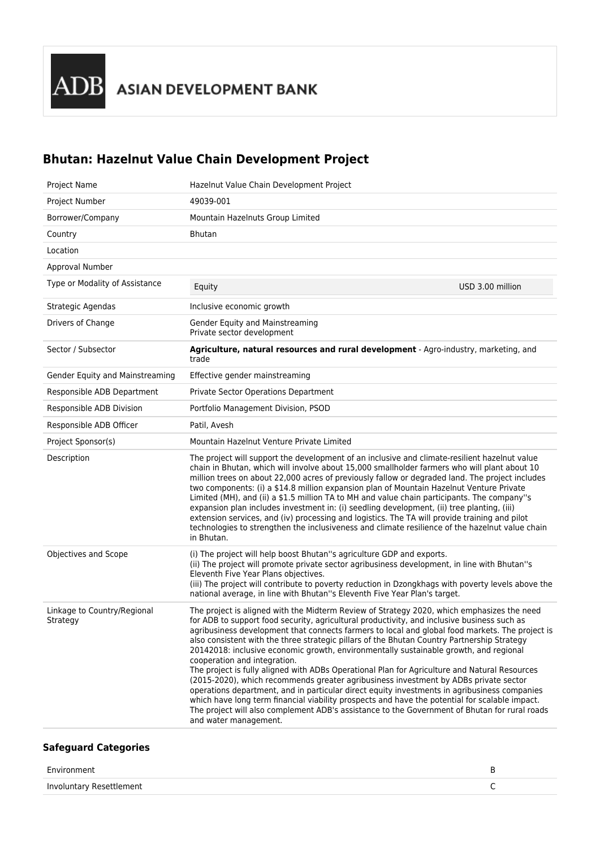## **Bhutan: Hazelnut Value Chain Development Project**

| Project Name                            | Hazelnut Value Chain Development Project                                                                                                                                                                                                                                                                                                                                                                                                                                                                                                                                                                                                                                                                                                                                                                                                                                                                                                                                                                                                  |
|-----------------------------------------|-------------------------------------------------------------------------------------------------------------------------------------------------------------------------------------------------------------------------------------------------------------------------------------------------------------------------------------------------------------------------------------------------------------------------------------------------------------------------------------------------------------------------------------------------------------------------------------------------------------------------------------------------------------------------------------------------------------------------------------------------------------------------------------------------------------------------------------------------------------------------------------------------------------------------------------------------------------------------------------------------------------------------------------------|
| Project Number                          | 49039-001                                                                                                                                                                                                                                                                                                                                                                                                                                                                                                                                                                                                                                                                                                                                                                                                                                                                                                                                                                                                                                 |
| Borrower/Company                        | Mountain Hazelnuts Group Limited                                                                                                                                                                                                                                                                                                                                                                                                                                                                                                                                                                                                                                                                                                                                                                                                                                                                                                                                                                                                          |
| Country                                 | <b>Bhutan</b>                                                                                                                                                                                                                                                                                                                                                                                                                                                                                                                                                                                                                                                                                                                                                                                                                                                                                                                                                                                                                             |
| Location                                |                                                                                                                                                                                                                                                                                                                                                                                                                                                                                                                                                                                                                                                                                                                                                                                                                                                                                                                                                                                                                                           |
| Approval Number                         |                                                                                                                                                                                                                                                                                                                                                                                                                                                                                                                                                                                                                                                                                                                                                                                                                                                                                                                                                                                                                                           |
| Type or Modality of Assistance          | USD 3.00 million<br>Equity                                                                                                                                                                                                                                                                                                                                                                                                                                                                                                                                                                                                                                                                                                                                                                                                                                                                                                                                                                                                                |
| Strategic Agendas                       | Inclusive economic growth                                                                                                                                                                                                                                                                                                                                                                                                                                                                                                                                                                                                                                                                                                                                                                                                                                                                                                                                                                                                                 |
| Drivers of Change                       | Gender Equity and Mainstreaming<br>Private sector development                                                                                                                                                                                                                                                                                                                                                                                                                                                                                                                                                                                                                                                                                                                                                                                                                                                                                                                                                                             |
| Sector / Subsector                      | Agriculture, natural resources and rural development - Agro-industry, marketing, and<br>trade                                                                                                                                                                                                                                                                                                                                                                                                                                                                                                                                                                                                                                                                                                                                                                                                                                                                                                                                             |
| Gender Equity and Mainstreaming         | Effective gender mainstreaming                                                                                                                                                                                                                                                                                                                                                                                                                                                                                                                                                                                                                                                                                                                                                                                                                                                                                                                                                                                                            |
| Responsible ADB Department              | <b>Private Sector Operations Department</b>                                                                                                                                                                                                                                                                                                                                                                                                                                                                                                                                                                                                                                                                                                                                                                                                                                                                                                                                                                                               |
| Responsible ADB Division                | Portfolio Management Division, PSOD                                                                                                                                                                                                                                                                                                                                                                                                                                                                                                                                                                                                                                                                                                                                                                                                                                                                                                                                                                                                       |
| Responsible ADB Officer                 | Patil, Avesh                                                                                                                                                                                                                                                                                                                                                                                                                                                                                                                                                                                                                                                                                                                                                                                                                                                                                                                                                                                                                              |
| Project Sponsor(s)                      | Mountain Hazelnut Venture Private Limited                                                                                                                                                                                                                                                                                                                                                                                                                                                                                                                                                                                                                                                                                                                                                                                                                                                                                                                                                                                                 |
| Description                             | The project will support the development of an inclusive and climate-resilient hazelnut value<br>chain in Bhutan, which will involve about 15,000 smallholder farmers who will plant about 10<br>million trees on about 22,000 acres of previously fallow or degraded land. The project includes<br>two components: (i) a \$14.8 million expansion plan of Mountain Hazelnut Venture Private<br>Limited (MH), and (ii) a \$1.5 million TA to MH and value chain participants. The company"s<br>expansion plan includes investment in: (i) seedling development, (ii) tree planting, (iii)<br>extension services, and (iv) processing and logistics. The TA will provide training and pilot<br>technologies to strengthen the inclusiveness and climate resilience of the hazelnut value chain<br>in Bhutan.                                                                                                                                                                                                                               |
| Objectives and Scope                    | (i) The project will help boost Bhutan"s agriculture GDP and exports.<br>(ii) The project will promote private sector agribusiness development, in line with Bhutan"s<br>Eleventh Five Year Plans objectives.<br>(iii) The project will contribute to poverty reduction in Dzongkhags with poverty levels above the<br>national average, in line with Bhutan"s Eleventh Five Year Plan's target.                                                                                                                                                                                                                                                                                                                                                                                                                                                                                                                                                                                                                                          |
| Linkage to Country/Regional<br>Strategy | The project is aligned with the Midterm Review of Strategy 2020, which emphasizes the need<br>for ADB to support food security, agricultural productivity, and inclusive business such as<br>agribusiness development that connects farmers to local and global food markets. The project is<br>also consistent with the three strategic pillars of the Bhutan Country Partnership Strategy<br>20142018: inclusive economic growth, environmentally sustainable growth, and regional<br>cooperation and integration.<br>The project is fully aligned with ADBs Operational Plan for Agriculture and Natural Resources<br>(2015-2020), which recommends greater agribusiness investment by ADBs private sector<br>operations department, and in particular direct equity investments in agribusiness companies<br>which have long term financial viability prospects and have the potential for scalable impact.<br>The project will also complement ADB's assistance to the Government of Bhutan for rural roads<br>and water management. |

## **Safeguard Categories**

| Environment              |  |
|--------------------------|--|
| Involuntary Resettlement |  |